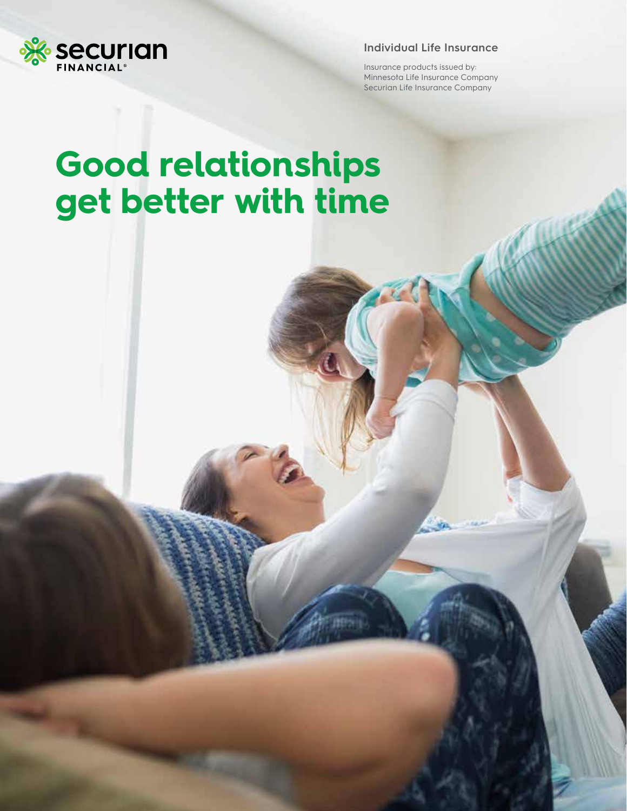

#### **Individual Life Insurance**

Insurance products issued by: Minnesota Life Insurance Company Securian Life Insurance Company

## **Good relationships get better with time**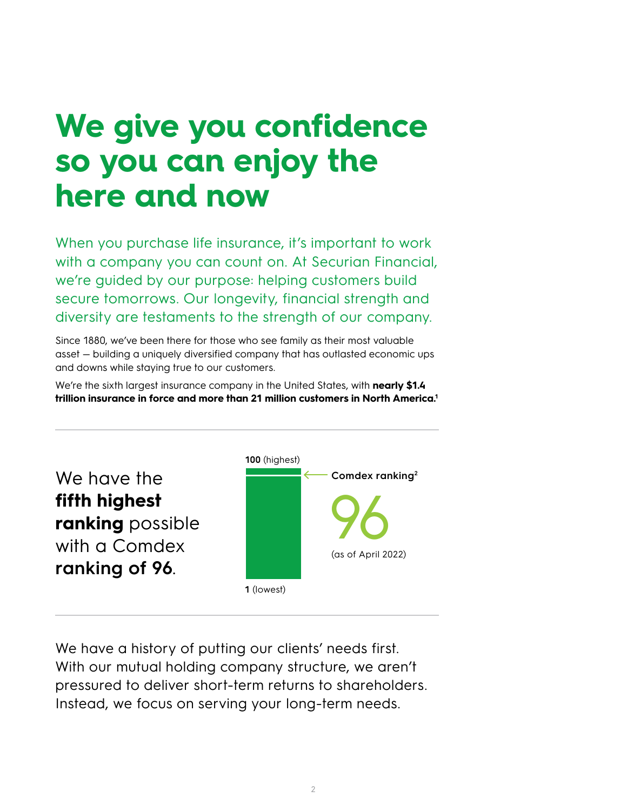## **We give you confidence so you can enjoy the here and now**

When you purchase life insurance, it's important to work with a company you can count on. At Securian Financial, we're guided by our purpose: helping customers build secure tomorrows. Our longevity, financial strength and diversity are testaments to the strength of our company.

Since 1880, we've been there for those who see family as their most valuable asset — building a uniquely diversified company that has outlasted economic ups and downs while staying true to our customers.

We're the sixth largest insurance company in the United States, with **nearly \$1.4 trillion insurance in force and more than 21 million customers in North America.1**



We have a history of putting our clients' needs first. With our mutual holding company structure, we aren't pressured to deliver short-term returns to shareholders. Instead, we focus on serving your long-term needs.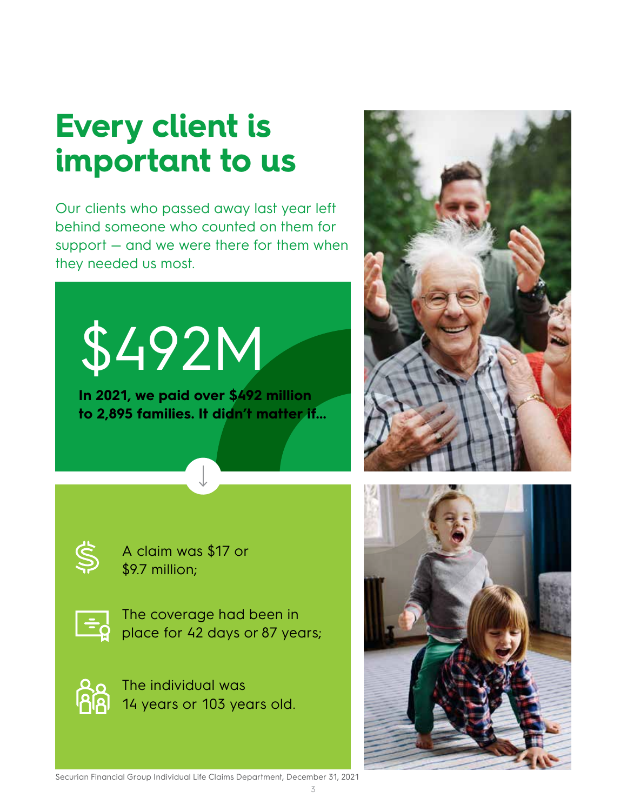## **Every client is important to us**

Our clients who passed away last year left behind someone who counted on them for support — and we were there for them when they needed us most.

\$492M

**In 2021, we paid over \$492 million to 2,895 families. It didn't matter if...**



A claim was \$17 or \$9.7 million;



The coverage had been in place for 42 days or 87 years;

The individual was 14 years or 103 years old.



Securian Financial Group Individual Life Claims Department, December 31, 2021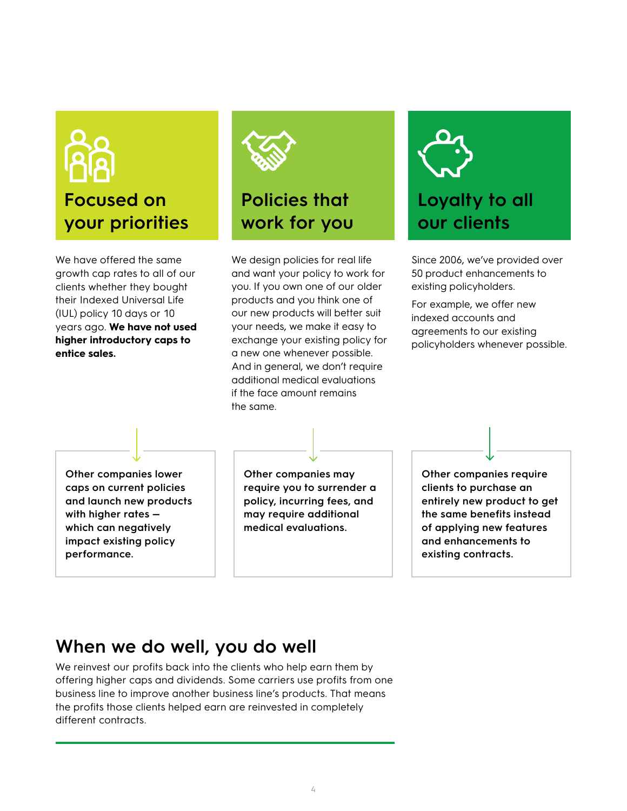# **Focused on your priorities**

We have offered the same growth cap rates to all of our clients whether they bought their Indexed Universal Life (IUL) policy 10 days or 10 years ago. **We have not used higher introductory caps to entice sales.**



### **Policies that work for you**

We design policies for real life and want your policy to work for you. If you own one of our older products and you think one of our new products will better suit your needs, we make it easy to exchange your existing policy for a new one whenever possible. And in general, we don't require additional medical evaluations if the face amount remains the same.



Since 2006, we've provided over 50 product enhancements to existing policyholders.

For example, we offer new indexed accounts and agreements to our existing policyholders whenever possible.

**Other companies lower caps on current policies and launch new products with higher rates which can negatively impact existing policy performance.**

**Other companies may require you to surrender a policy, incurring fees, and may require additional medical evaluations.**

**Other companies require clients to purchase an entirely new product to get the same benefits instead of applying new features and enhancements to existing contracts.**

### **When we do well, you do well**

We reinvest our profits back into the clients who help earn them by offering higher caps and dividends. Some carriers use profits from one business line to improve another business line's products. That means the profits those clients helped earn are reinvested in completely different contracts.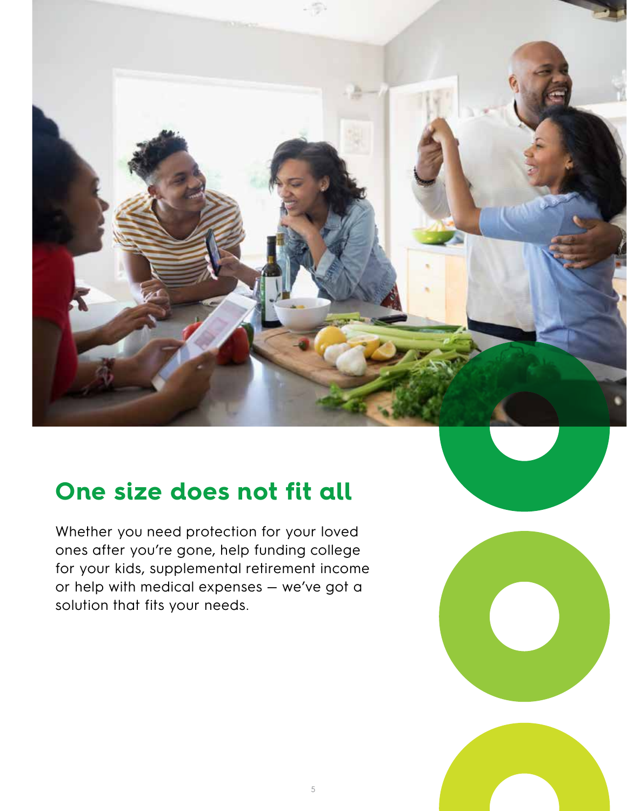

### **One size does not fit all**

Whether you need protection for your loved ones after you're gone, help funding college for your kids, supplemental retirement income or help with medical expenses — we've got a solution that fits your needs.